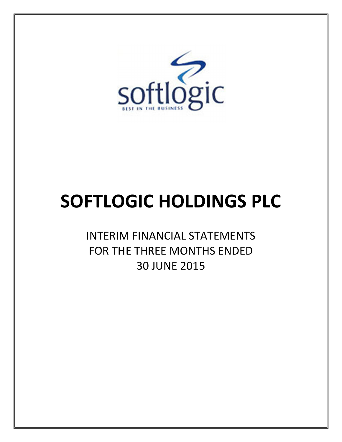

# SOFTLOGIC HOLDINGS PLC

INTERIM FINANCIAL STATEMENTS FOR THE THREE MONTHS ENDED 30 JUNE 2015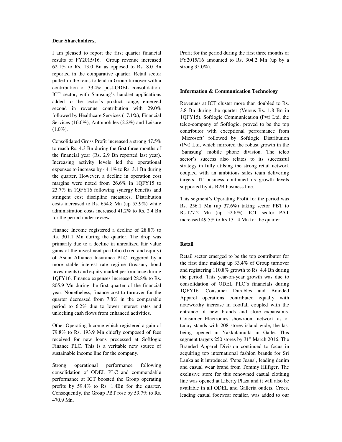#### **Dear Shareholders,**

I am pleased to report the first quarter financial results of FY2015/16. Group revenue increased 62.1% to Rs. 13.0 Bn as opposed to Rs. 8.0 Bn reported in the comparative quarter. Retail sector pulled in the reins to lead in Group turnover with a contribution of 33.4% post-ODEL consolidation. ICT sector, with Samsung's handset applications added to the sector's product range, emerged second in revenue contribution with 29.0% followed by Healthcare Services (17.1%), Financial Services (16.6%), Automobiles (2.2%) and Leisure  $(1.0\%)$ .

Consolidated Gross Profit increased a strong 47.5% to reach Rs. 4.3 Bn during the first three months of the financial year (Rs. 2.9 Bn reported last year). Increasing activity levels led the operational expenses to increase by 44.1% to Rs. 3.1 Bn during the quarter. However, a decline in operation cost margins were noted from 26.6% in 1QFY15 to 23.7% in 1QFY16 following synergy benefits and stringent cost discipline measures. Distribution costs increased to Rs. 654.8 Mn (up 55.9%) while administration costs increased 41.2% to Rs. 2.4 Bn for the period under review.

Finance Income registered a decline of 28.8% to Rs. 301.1 Mn during the quarter. The drop was primarily due to a decline in unrealized fair value gains of the investment portfolio (fixed and equity) of Asian Alliance Insurance PLC triggered by a more stable interest rate regime (treasury bond investments) and equity market performance during 1QFY16. Finance expenses increased 28.8% to Rs. 805.9 Mn during the first quarter of the financial year. Nonetheless, finance cost to turnover for the quarter decreased from 7.8% in the comparable period to 6.2% due to lower interest rates and unlocking cash flows from enhanced activities.

Other Operating Income which registered a gain of 79.8% to Rs. 193.9 Mn chiefly composed of fees received for new loans processed at Softlogic Finance PLC. This is a veritable new source of sustainable income line for the company.

Strong operational performance following consolidation of ODEL PLC and commendable performance at ICT boosted the Group operating profits by 59.4% to Rs. 1.4Bn for the quarter. Consequently, the Group PBT rose by 59.7% to Rs. 470.9 Mn.

Profit for the period during the first three months of FY2015/16 amounted to Rs. 304.2 Mn (up by a strong 35.0%).

#### **Information & Communication Technology**

Revenues at ICT cluster more than doubled to Rs. 3.8 Bn during the quarter (Versus Rs. 1.8 Bn in 1QFY15). Softlogic Communication (Pvt) Ltd, the telco-company of Softlogic, proved to be the top contributor with exceptional performance from 'Microsoft' followed by Softlogic Distribution (Pvt) Ltd, which mirrored the robust growth in the 'Samsung' mobile phone division. The telco sector's success also relates to its successful strategy in fully utilsing the strong retail network coupled with an ambitious sales team delivering targets. IT business continued its growth levels supported by its B2B business line.

This segment's Operating Profit for the period was Rs. 256.1 Mn (up 37.6%) taking sector PBT to Rs.177.2 Mn (up 52.6%). ICT sector PAT increased 49.5% to Rs.131.4 Mn for the quarter.

#### **Retail**

Retail sector emerged to be the top contributor for the first time making up 33.4% of Group turnover and registering 110.8% growth to Rs. 4.4 Bn during the period. This year-on-year growth was due to consolidation of ODEL PLC's financials during 1QFY16. Consumer Durables and Branded Apparel operations contributed equally with noteworthy increase in footfall coupled with the entrance of new brands and store expansions. Consumer Electronics showroom network as of today stands with 208 stores island wide, the last being opened in Yakkalamulla in Galle. This segment targets  $250$  stores by  $31<sup>st</sup>$  March 2016. The Branded Apparel Division continued to focus in acquiring top international fashion brands for Sri Lanka as it introduced 'Pepe Jeans', leading denim and casual wear brand from Tommy Hilfiger. The exclusive store for this renowned casual clothing line was opened at Liberty Plaza and it will also be available in all ODEL and Galleria outlets. Crocs, leading casual footwear retailer, was added to our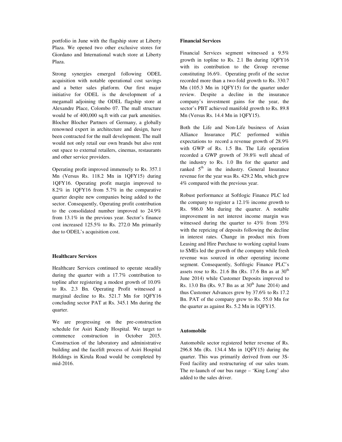portfolio in June with the flagship store at Liberty Plaza. We opened two other exclusive stores for Giordano and International watch store at Liberty Plaza.

Strong synergies emerged following ODEL acquisition with notable operational cost savings and a better sales platform. Our first major initiative for ODEL is the development of a megamall adjoining the ODEL flagship store at Alexandre Place, Colombo 07. The mall structure would be of 400,000 sq.ft with car park amenities. Blocher Blocher Partners of Germany, a globally renowned expert in architecture and design, have been contracted for the mall development. The mall would not only retail our own brands but also rent out space to external retailers, cinemas, restaurants and other service providers.

Operating profit improved immensely to Rs. 357.1 Mn (Versus Rs. 118.2 Mn in 1QFY15) during 1QFY16. Operating profit margin improved to 8.2% in 1QFY16 from 5.7% in the comparative quarter despite new companies being added to the sector. Consequently, Operating profit contribution to the consolidated number improved to 24.9% from 13.1% in the previous year. Sector's finance cost increased 125.5% to Rs. 272.0 Mn primarily due to ODEL's acquisition cost.

#### **Healthcare Services**

Healthcare Services continued to operate steadily during the quarter with a 17.7% contribution to topline after registering a modest growth of 10.0% to Rs. 2.3 Bn. Operating Profit witnessed a marginal decline to Rs. 521.7 Mn for 1QFY16 concluding sector PAT at Rs. 345.1 Mn during the quarter.

We are progressing on the pre-construction schedule for Asiri Kandy Hospital. We target to commence construction in October 2015. Construction of the laboratory and administrative building and the facelift process of Asiri Hospital Holdings in Kirula Road would be completed by mid-2016.

#### **Financial Services**

Financial Services segment witnessed a 9.5% growth in topline to Rs. 2.1 Bn during 1QFY16 with its contribution to the Group revenue constituting 16.6%. Operating profit of the sector recorded more than a two-fold growth to Rs. 330.7 Mn (105.3 Mn in 1QFY15) for the quarter under review. Despite a decline in the insurance company's investment gains for the year, the sector's PBT achieved manifold growth to Rs. 89.8 Mn (Versus Rs. 14.4 Mn in 1QFY15).

Both the Life and Non-Life business of Asian Alliance Insurance PLC performed within expectations to record a revenue growth of 28.9% with GWP of Rs. 1.5 Bn. The Life operation recorded a GWP growth of 39.8% well ahead of the industry to Rs. 1.0 Bn for the quarter and ranked  $5<sup>th</sup>$  in the industry. General Insurance revenue for the year was Rs. 429.2 Mn, which grew 4% compared with the previous year.

Robust performance at Softlogic Finance PLC led the company to register a 12.1% income growth to Rs. 986.0 Mn during the quarter. A notable improvement in net interest income margin was witnessed during the quarter to 43% from 35% with the repricing of deposits following the decline in interest rates. Change in product mix from Leasing and Hire Purchase to working capital loans to SMEs led the growth of the company while fresh revenue was sourced in other operating income segment. Consequently, Softlogic Finance PLC's assets rose to Rs. 21.6 Bn (Rs. 17.6 Bn as at  $30<sup>th</sup>$ June 2014) while Customer Deposits improved to Rs. 13.0 Bn (Rs. 9.7 Bn as at  $30^{th}$  June 2014) and thus Customer Advances grew by 37.6% to Rs 17.2 Bn. PAT of the company grew to Rs. 55.0 Mn for the quarter as against Rs. 5.2 Mn in 1QFY15.

#### **Automobile**

Automobile sector registered better revenue of Rs. 296.8 Mn (Rs. 134.4 Mn in 1QFY15) during the quarter. This was primarily derived from our 3S-Ford facility and restructuring of our sales team. The re-launch of our bus range – 'King Long' also added to the sales driver.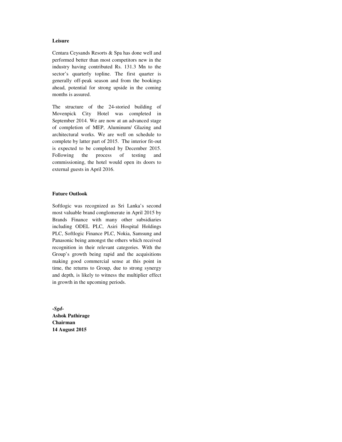#### **Leisure**

Centara Ceysands Resorts & Spa has done well and performed better than most competitors new in the industry having contributed Rs. 131.3 Mn to the sector's quarterly topline. The first quarter is generally off-peak season and from the bookings ahead, potential for strong upside in the coming months is assured.

The structure of the 24-storied building of Movenpick City Hotel was completed in September 2014. We are now at an advanced stage of completion of MEP, Aluminum/ Glazing and architectural works. We are well on schedule to complete by latter part of 2015. The interior fit-out is expected to be completed by December 2015. Following the process of testing and commissioning, the hotel would open its doors to external guests in April 2016.

#### **Future Outlook**

Softlogic was recognized as Sri Lanka's second most valuable brand conglomerate in April 2015 by Brands Finance with many other subsidiaries including ODEL PLC, Asiri Hospital Holdings PLC, Softlogic Finance PLC, Nokia, Samsung and Panasonic being amongst the others which received recognition in their relevant categories. With the Group's growth being rapid and the acquisitions making good commercial sense at this point in time, the returns to Group, due to strong synergy and depth, is likely to witness the multiplier effect in growth in the upcoming periods.

**-***Sgd***-Ashok Pathirage Chairman 14 August 2015**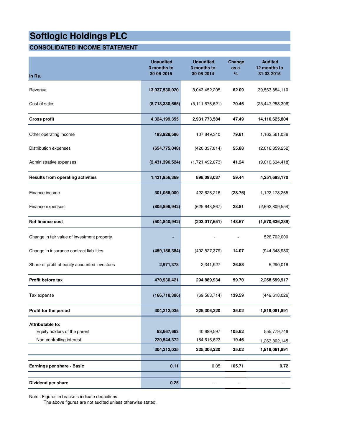## **CONSOLIDATED INCOME STATEMENT**

| In Rs.                                           | <b>Unaudited</b><br>3 months to<br>30-06-2015 | <b>Unaudited</b><br>3 months to<br>30-06-2014 | Change<br>as a<br>% | <b>Audited</b><br>12 months to<br>31-03-2015 |
|--------------------------------------------------|-----------------------------------------------|-----------------------------------------------|---------------------|----------------------------------------------|
| Revenue                                          | 13,037,530,020                                | 8,043,452,205                                 | 62.09               | 39,563,884,110                               |
| Cost of sales                                    | (8,713,330,665)                               | (5, 111, 678, 621)                            | 70.46               | (25, 447, 258, 306)                          |
| <b>Gross profit</b>                              | 4,324,199,355                                 | 2,931,773,584                                 | 47.49               | 14,116,625,804                               |
| Other operating income                           | 193,928,586                                   | 107,849,340                                   | 79.81               | 1,162,561,036                                |
| Distribution expenses                            | (654, 775, 048)                               | (420, 037, 814)                               | 55.88               | (2,016,859,252)                              |
| Administrative expenses                          | (2,431,396,524)                               | (1,721,492,073)                               | 41.24               | (9,010,634,418)                              |
| <b>Results from operating activities</b>         | 1,431,956,369                                 | 898,093,037                                   | 59.44               | 4,251,693,170                                |
| Finance income                                   | 301,058,000                                   | 422,626,216                                   | (28.76)             | 1,122,173,265                                |
| Finance expenses                                 | (805, 898, 942)                               | (625, 643, 867)                               | 28.81               | (2,692,809,554)                              |
| Net finance cost                                 | (504, 840, 942)                               | (203, 017, 651)                               | 148.67              | (1,570,636,289)                              |
| Change in fair value of investment property      |                                               |                                               |                     | 526,702,000                                  |
| Change in insurance contract liabilities         | (459, 156, 384)                               | (402, 527, 379)                               | 14.07               | (944, 348, 980)                              |
| Share of profit of equity accounted investees    | 2,971,378                                     | 2,341,927                                     | 26.88               | 5,290,016                                    |
| Profit before tax                                | 470,930,421                                   | 294,889,934                                   | 59.70               | 2,268,699,917                                |
| Tax expense                                      | (166, 718, 386)                               | (69, 583, 714)                                | 139.59              | (449, 618, 026)                              |
| Profit for the period                            | 304,212,035                                   | 225,306,220                                   | 35.02               | 1,819,081,891                                |
| Attributable to:<br>Equity holders of the parent | 83,667,663                                    | 40,689,597                                    | 105.62              | 555,779,746                                  |
| Non-controlling interest                         | 220,544,372                                   | 184,616,623                                   | 19.46               | 1,263,302,145                                |
|                                                  | 304,212,035                                   | 225,306,220                                   | 35.02               | 1,819,081,891                                |
| Earnings per share - Basic                       | 0.11                                          | 0.05                                          | 105.71              | 0.72                                         |
| Dividend per share                               | 0.25                                          |                                               |                     | -                                            |

Note : Figures in brackets indicate deductions.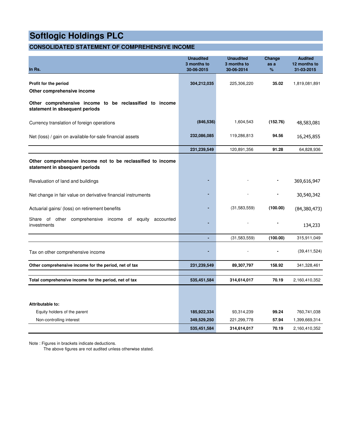## **CONSOLIDATED STATEMENT OF COMPREHENSIVE INCOME**

| In Rs.                                                                                        | <b>Unaudited</b><br>3 months to<br>30-06-2015 | <b>Unaudited</b><br>3 months to<br>30-06-2014 | Change<br>as a<br>% | <b>Audited</b><br>12 months to<br>31-03-2015 |
|-----------------------------------------------------------------------------------------------|-----------------------------------------------|-----------------------------------------------|---------------------|----------------------------------------------|
| Profit for the period<br>Other comprehensive income                                           | 304,212,035                                   | 225,306,220                                   | 35.02               | 1,819,081,891                                |
| Other comprehensive income to be reclassified to income<br>statement in sbsequent periods     |                                               |                                               |                     |                                              |
| Currency translation of foreign operations                                                    | (846, 536)                                    | 1,604,543                                     | (152.76)            | 48,583,081                                   |
| Net (loss) / gain on available-for-sale financial assets                                      | 232,086,085                                   | 119,286,813                                   | 94.56               | 16,245,855                                   |
|                                                                                               | 231,239,549                                   | 120,891,356                                   | 91.28               | 64,828,936                                   |
| Other comprehensive income not to be reclassified to income<br>statement in sbsequent periods |                                               |                                               |                     |                                              |
| Revaluation of land and buildings                                                             |                                               |                                               |                     | 369,616,947                                  |
| Net change in fair value on derivative financial instruments                                  |                                               |                                               |                     | 30,540,342                                   |
| Actuarial gains/ (loss) on retirement benefits                                                |                                               | (31, 583, 559)                                | (100.00)            | (84, 380, 473)                               |
| Share of other comprehensive income of<br>equity<br>accounted<br>investments                  |                                               |                                               |                     | 134,233                                      |
|                                                                                               | ÷                                             | (31,583,559)                                  | (100.00)            | 315,911,049                                  |
| Tax on other comprehensive income                                                             |                                               |                                               |                     | (39, 411, 524)                               |
| Other comprehensive income for the period, net of tax                                         | 231,239,549                                   | 89,307,797                                    | 158.92              | 341,328,461                                  |
| Total comprehensive income for the period, net of tax                                         | 535,451,584                                   | 314,614,017                                   | 70.19               | 2,160,410,352                                |
|                                                                                               |                                               |                                               |                     |                                              |
| Attributable to:                                                                              |                                               |                                               |                     |                                              |
| Equity holders of the parent                                                                  | 185,922,334                                   | 93,314,239                                    | 99.24               | 760,741,038                                  |
| Non-controlling interest                                                                      | 349,529,250                                   | 221,299,778                                   | 57.94               | 1,399,669,314                                |
|                                                                                               | 535,451,584                                   | 314,614,017                                   | 70.19               | 2,160,410,352                                |

Note : Figures in brackets indicate deductions.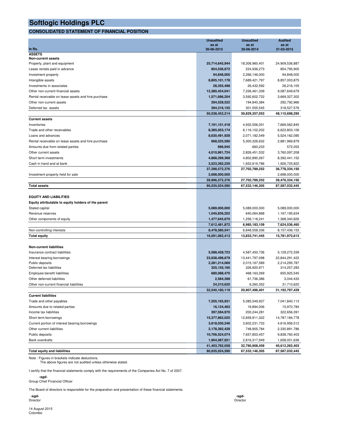### **CONSOLIDATED STATEMENT OF FINANCIAL POSITION**

|                                                     | <b>Unaudited</b> | <b>Unaudited</b> | <b>Audited</b> |
|-----------------------------------------------------|------------------|------------------|----------------|
|                                                     | as at            | as at            | as at          |
| In Rs.<br><b>ASSETS</b>                             | 30-06-2015       | 30-06-2014       | 31-03-2015     |
| <b>Non-current assets</b>                           |                  |                  |                |
| Property, plant and equipment                       | 25,714,645,944   | 18,306,960,401   | 24,909,536,887 |
| Lease rentals paid in advance                       | 854,536,672      | 224,936,273      | 854,795,905    |
| Investment property                                 | 94,848,000       | 2,266,146,000    | 94,848,000     |
| Intangible assets                                   | 8,805,101,178    | 7,689,421,797    | 8,857,003,875  |
| Investments in associates                           | 28,355,498       | 26,432,592       | 26,216,105     |
| Other non-current financial assets                  | 12,380,424,041   | 7,226,461,339    | 9,087,649,679  |
| Rental receivable on lease assets and hire purchase | 1,571,696,204    | 3,592,602,722    | 3,669,327,302  |
| Other non-current assets                            | 294,528,522      | 194,840,384      | 292,792,966    |
| Deferred tax assets                                 | 294,316,155      | 301,555,545      | 318,527,576    |
|                                                     | 50,038,452,214   | 39,829,357,053   | 48,110,698,295 |
| <b>Current assets</b>                               |                  |                  |                |
| Inventories                                         | 7,191,151,418    | 4,932,556,051    | 7,669,562,845  |
| Trade and other receivables                         | 8,385,053,174    | 6,116,102,202    | 6,622,803,106  |
| Loans and advances                                  | 8,630,491,928    | 2,071,182,549    | 5,524,162,085  |
| Rental receivable on lease assets and hire purchase | 668,525,590      | 5,300,326,632    | 2,881,969,879  |
| Amounts due from related parties                    | 696,945          | 660,233          | 572,053        |
| Other current assets                                | 4,010,961,724    | 2,826,451,532    | 3,760,097,208  |
| Short term investments                              | 4,888,299,368    | 4,802,890,267    | 8,392,441,152  |
| Cash in hand and at bank                            | 3,523,392,229    | 1,652,619,786    | 1,926,725,822  |
|                                                     | 37,298,572,376   | 27,702,789,252   | 36,778,334,150 |
| Investment property held for sale                   | 2,698,000,000    |                  | 2,698,000,000  |
|                                                     | 39,996,572,376   | 27,702,789,252   | 39,476,334,150 |
| <b>Total assets</b>                                 | 90,035,024,590   | 67,532,146,305   | 87,587,032,445 |
|                                                     |                  |                  |                |
| <b>EQUITY AND LIABILITIES</b>                       |                  |                  |                |
| Equity attributable to equity holders of the parent |                  |                  |                |
| Stated capital                                      | 5,089,000,000    | 5,089,000,000    | 5,089,000,000  |
| Revenue reserves                                    | 1,045,836,202    | 640,064,868      | 1,167,195,634  |
| Other components of equity                          | 1,477,645,670    | 1,256,118,241    | 1,368,340,826  |
|                                                     | 7,612,481,872    | 6,985,183,109    | 7,624,536,460  |
| Non-controlling interests                           | 8,478,580,541    | 6,848,558,336    | 8,157,436,153  |
| <b>Total equity</b>                                 | 16,091,062,413   | 13,833,741,445   | 15,781,972,613 |
|                                                     |                  |                  |                |
| <b>Non-current liabilities</b>                      |                  |                  |                |
| Insurance contract liabilities                      | 5,588,428,723    | 4,587,450,736    | 5,129,272,339  |
| Interest bearing borrowings                         | 23,638,498,679   | 13,441,797,098   | 22,844,291,422 |
| Public deposits                                     | 2,281,214,069    | 2,015,167,589    | 2,214,295,787  |
| Deferred tax liabilities                            | 325,155,160      | 326,920,971      | 314,257,283    |
| Employee benefit liabilities                        | 680,088,470      | 468,163,269      | 655,925,545    |
| Other deferred liabilities                          | 2,584,398        | 61,736,386       | 3,044,433      |
| Other non-current financial liabilities             | 24.210.620       | 6,260,352        | 31,710,620     |
|                                                     | 32,540,180,119   | 20,907,496,401   | 31,192,797,429 |
| <b>Current liabilities</b>                          |                  |                  |                |
| Trade and other payables                            | 7,205,165,931    | 5,085,549,927    | 7,041,840,113  |
| Amounts due to related parties                      | 16,124,463       | 19,894,006       | 15,970,784     |
| Income tax liabilities                              | 397,594,970      | 200,244,281      | 322,656,391    |
| Short term borrowings                               | 15,377,862,025   | 12,659,911,322   | 14,787,184,778 |
| Current portion of interest bearing borrowings      | 3,618,030,246    | 3,602,231,733    | 4,616,956,512  |
| Other current liabilities                           | 2,178,392,428    | 748,905,784      | 2,330,891,786  |
| Public deposits                                     | 10,706,524,074   | 7,657,853,457    | 9,838,760,403  |
| <b>Bank overdrafts</b>                              | 1,904,087,921    | 2,816,317,949    | 1,658,001,636  |
|                                                     | 41,403,782,058   | 32,790,908,459   | 40,612,262,403 |
| <b>Total equity and liabilities</b>                 | 90,035,024,590   | 67,532,146,305   | 87,587,032,445 |

Note : Figures in brackets indicate deductions. The above figures are not audited unless otherwise stated.

I certify that the financial statements comply with the requirements of the Companies Act No. 7 of 2007.

 **-sgd-**Group Chief Financial Officer

The Board of directors is responsible for the preparation and presentation of these financial statements.

 **-sgd- -sgd-**

14 August 2015 Colombo

Director Director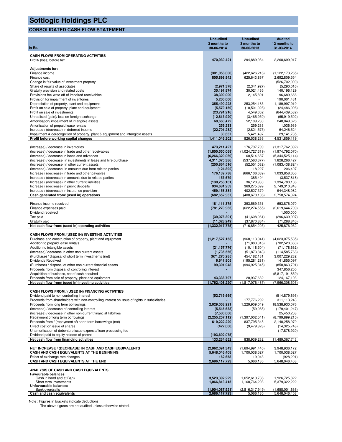## **CONSOLIDATED CASH FLOW STATEMENT**

|                                                                                                                                   | <b>Unaudited</b>                    | <b>Unaudited</b>                | <b>Audited</b>                    |
|-----------------------------------------------------------------------------------------------------------------------------------|-------------------------------------|---------------------------------|-----------------------------------|
|                                                                                                                                   | 3 months to                         | 3 months to                     | 12 months to                      |
| In Rs.                                                                                                                            | 30-06-2014                          | 30-06-2013                      | 31-03-2014                        |
| <b>CASH FLOWS FROM OPERATING ACTIVITIES</b>                                                                                       |                                     |                                 |                                   |
| Profit/ (loss) before tax                                                                                                         | 470,930,421                         | 294,889,934                     | 2,268,699,917                     |
| <b>Adjustments for:</b>                                                                                                           |                                     |                                 |                                   |
| Finance income                                                                                                                    | (301, 058, 000)                     | (422, 626, 216)                 | (1, 122, 173, 265)                |
| Finance cost                                                                                                                      | 805,898,942                         | 625,643,867                     | 2,692,809,554                     |
| Change in fair value of investment property                                                                                       |                                     |                                 | (526, 702, 000)                   |
| Share of results of associates<br>Gratuity provision and related costs                                                            | (2,971,378)<br>35,191,874           | (2,341,927)<br>30,021,465       | (5,290,016)<br>140,196,129        |
| Provisions for/write off of impaired receivables                                                                                  | 38,300,000                          | 2,145,891                       | 96,689,666                        |
| Provision for impairment of inventories                                                                                           | 5,200,000                           |                                 | 190,001,431                       |
| Depreciation of property, plant and equipment                                                                                     | 355,490,228                         | 253,254,163                     | 1,189,997,919                     |
| Profit on sale of property, plant and equipment<br>Profit on sale of investments                                                  | (5,579,159)<br>(23,791,916)         | (10,501,028)<br>4,549,602       | (24, 486, 006)<br>(644, 439, 532) |
| Unrealised (gain)/ loss on foreign exchange                                                                                       | (12, 813, 920)                      | (3,465,950)                     | (65,919,502)                      |
| Amortisation/ impairment of intangible assets                                                                                     | 68,660,472                          | 52,109,280                      | 248,049,626                       |
| Amortisation of prepaid lease rentals                                                                                             | 259,233                             | 259,233                         | 1,036,939                         |
| Increase / (decrease) in deferred income                                                                                          | (22, 701, 232)                      | (2,821,575)                     | 64,246,524                        |
| Impairment & derecognition of property, plant & equipment and Intangible assets<br>Profit before working capital changes          | 30,637<br>1,411,046,202             | 5,421,497<br>826,538,236        | 29,141,735<br>4,531,859,119       |
|                                                                                                                                   |                                     |                                 |                                   |
| (Increase) / decrease in inventories                                                                                              | 473,211,427                         | 176,797,799                     | (1,317,762,392)                   |
| (Increase) / decrease in trade and other receivables                                                                              | (1,800,550,068)                     | (1,024,727,319)                 | (1,974,792,070)                   |
| (Increase) / decrease in loans and advances<br>(Increase) / decrease in investments in lease and hire purchase                    | (6, 266, 320, 069)<br>4,311,075,386 | 60,514,687<br>(537, 563, 377)   | (5,344,525,114)<br>1,828,266,427  |
| (Increase) / decrease in other current assets                                                                                     | (250, 864, 516)                     | (52, 551, 082)                  | (1,083,438,824)                   |
| (Increase) / decrease in amounts due from related parties                                                                         | (124, 892)                          | 118,227                         | 206,407                           |
| Increase / (decrease) in trade and other payables                                                                                 | 176,139,738                         | (666, 106, 689)                 | 1,033,858,656                     |
| Increase / (decrease) in amounts due to related parties                                                                           | 153,679                             | 385,404                         | (3,537,818)                       |
| Increase / (decrease) in other current liabilities<br>Increase / (decrease) in public deposits                                    | (130, 258, 161)<br>934,681,953      | 36,120,930<br>369,275,699       | 1,394,780,108<br>2,749,310,843    |
| Increase / (decrease) in insurance provision                                                                                      | 459,156,384                         | 402,527,379                     | 944,348,982                       |
| Cash generated from/ (used in) operations                                                                                         | (682, 652, 937)                     | (408, 670, 106)                 | 2,758,574,324                     |
|                                                                                                                                   |                                     |                                 |                                   |
| Finance income received<br>Finance expenses paid                                                                                  | 181, 111, 375<br>(781, 270, 963)    | 393,569,351<br>(622, 274, 555)  | 653,876,070<br>(2,619,644,709)    |
| Dividend received                                                                                                                 |                                     |                                 | 1,000,000                         |
| Tax paid                                                                                                                          | (39,076,301)                        | (41,608,061)                    | (296,639,907)                     |
| Gratuity paid                                                                                                                     | (11,028,949)                        | (37,870,834)                    | (71, 288, 846)                    |
| Net cash flow from/ (used in) operating activities                                                                                | (1,332,917,775)                     | (716, 854, 205)                 | 425,876,932                       |
| CASH FLOWS FROM /(USED IN) INVESTING ACTIVITIES                                                                                   |                                     |                                 |                                   |
| Purchase and construction of property, plant and equipment                                                                        | (1,217,527,153)                     | (968, 113, 941)                 | (4,023,075,585)                   |
| Addition to prepaid lease rentals                                                                                                 |                                     | (71, 883, 316)                  | (702, 520, 660)                   |
| Addition to intangible assets                                                                                                     | (21, 157, 776)                      | (10, 118, 504)                  | (71, 178, 662)                    |
| (Increase)/ decrease in other non current assets<br>(Purchase) / disposal of short term investments (net)                         | (1,735,556)<br>(671, 270, 285)      | (51, 873, 843)<br>454, 182, 131 | (114, 585, 768)<br>3,007,229,282  |
| Dividends Received                                                                                                                | 6,641,805                           | (195, 281, 281)                 | 141,855,097                       |
| (Purchase) / disposal of other non current financial assets                                                                       | 99,301,948                          | (994, 925, 345)                 | (858, 863, 791)                   |
| Proceeds from disposal of controlling interest                                                                                    |                                     |                                 | 347,856,250                       |
| Acquisition of business, net of cash acquired                                                                                     |                                     |                                 | (5,817,191,859)                   |
| Proceeds from sale of property, plant and equipment<br>Net cash flow from/ (used in) investing activities                         | 43,338,797<br>(1,762,408,220)       | 20,937,632<br>(1,817,076,467)   | 124,167,193<br>(7,966,308,503)    |
|                                                                                                                                   |                                     |                                 |                                   |
| CASH FLOWS FROM / (USED IN) FINANCING ACTIVITIES                                                                                  |                                     |                                 |                                   |
| Dividend paid to non controlling interest                                                                                         | (52,719,669)                        |                                 | (514, 879, 693)                   |
| Proceeds from shareholders with non-controlling interest on issue of rights in subsidiaries<br>Proceeds from long term borrowings | 2,029,058,921                       | 177,776,292<br>1,229,909,049    | 311,113,243<br>18,538,930,076     |
| (Increase) / decrease of controlling interest                                                                                     | (5,545,633)                         | (59,085)                        | (179, 401, 247)                   |
| (Increase) / decrease in other non-current financial liabilities                                                                  | (7,500,000)                         |                                 | 25,450,268                        |
| Repayment of long term borrowings                                                                                                 | (2,255,257,112)                     | (1,397,002,541)                 | (8,799,899,215)                   |
| Proceeds from / (repayment of) short term borrowings (net)                                                                        | 619,222,220                         | 837,795,345                     | 2,140,258,979                     |
| Direct cost on issue of shares<br>Unamortisation of debenture issue expense/ loan processing fee                                  | (422,000)                           | (9,479,828)                     | (14, 325, 748)<br>(17, 878, 920)  |
| Dividend paid to equity holders of parent                                                                                         | (193, 602, 075)                     |                                 |                                   |
| Net cash flow from financing activities                                                                                           | 133,234,652                         | 838,939,232                     | 11,489,367,743                    |
|                                                                                                                                   |                                     |                                 |                                   |
| NET INCREASE / (DECREASE) IN CASH AND CASH EQUIVALENTS<br>CASH AND CASH EQUIVALENTS AT THE BEGINNING                              | (2,962,091,343)                     | (1,694,991,440)                 | 3,948,936,172                     |
| Effect of exchange rate changes                                                                                                   | 5,648,046,408<br>162,658            | 1,700,038,527<br>19,043         | 1,700,038,527<br>(928, 291)       |
| CASH AND CASH EQUIVALENTS AT THE END                                                                                              | 2,686,117,723                       | 5,066,130                       | 5,648,046,408                     |
|                                                                                                                                   |                                     |                                 |                                   |
| ANALYSIS OF CASH AND CASH EQUIVALENTS                                                                                             |                                     |                                 |                                   |
| <b>Favourable balances</b><br>Cash in hand and at Bank                                                                            | 3,523,392,229                       | 1,652,619,786                   | 1,926,725,822                     |
| Short term investments                                                                                                            | 1,066,813,415                       | 1,168,764,293                   | 5,379,322,222                     |
| Unfavourable balances                                                                                                             |                                     |                                 |                                   |
| <b>Bank overdrafts</b><br>Cash and cash equivalents                                                                               | (1,904,087,921)<br>2,686,117,723    | (2,816,317,949)<br>5,066,130    | (1,658,001,636)<br>5,648,046,408  |

Note : Figures in brackets indicate deductions. The above figures are not audited unless otherwise stated.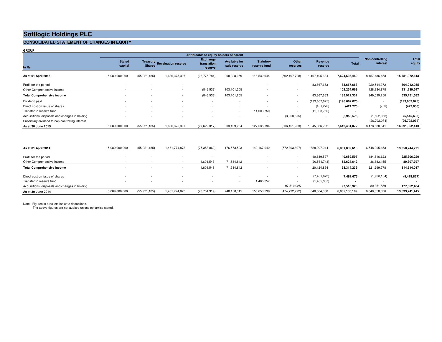#### **CONSOLIDATED STATEMENT OF CHANGES IN EQUITY**

| <b>GROUP</b>                                                                                      |                          |                                    |                              | Attributable to equity holders of parent  |                                      |                                  |                       |                            |                               |                               |                               |
|---------------------------------------------------------------------------------------------------|--------------------------|------------------------------------|------------------------------|-------------------------------------------|--------------------------------------|----------------------------------|-----------------------|----------------------------|-------------------------------|-------------------------------|-------------------------------|
| In Rs.                                                                                            | <b>Stated</b><br>capital | <b>Shares</b>                      | Treasury Revaluation reserve | <b>Exchange</b><br>translation<br>reserve | <b>Available for</b><br>sale reserve | <b>Statutory</b><br>reserve fund | Other<br>reserves     | Revenue<br>reserve         | <b>Total</b>                  | Non-controlling<br>interest   | Total<br>equity               |
| As at 01 April 2015                                                                               | 5,089,000,000            | (55, 921, 185)                     | 1,636,375,397                | (26, 775, 781)                            | 200,328,059                          | 116,532,044                      | (502, 197, 708)       | 1,167,195,634              | 7,624,536,460                 | 8,157,436,153                 | 15,781,972,613                |
| Profit for the period<br>Other Comprehensive income                                               | $\sim$<br>$\sim$         |                                    | $\sim$                       | (846, 536)                                | 103,101,205                          |                                  |                       | 83,667,663                 | 83,667,663<br>102,254,669     | 220,544,372<br>128,984,878    | 304,212,035<br>231,239,547    |
| <b>Total Comprehensive income</b>                                                                 | ۰.                       |                                    | $\sim$                       | (846, 536)                                | 103,101,205                          |                                  | $\sim$                | 83,667,663                 | 185,922,332                   | 349,529,250                   | 535,451,582                   |
| Dividend paid                                                                                     | $\sim$                   | $\sim$                             | $\sim$                       |                                           | $\overline{\phantom{a}}$             | $\overline{\phantom{a}}$         | $\sim$                | (193, 602, 075)            | (193, 602, 075)               |                               | (193, 602, 075)               |
| Direct cost on issue of shares<br>Transfer to reserve fund                                        | $\sim$                   | $\sim$<br>$\overline{\phantom{a}}$ | $\sim$                       |                                           | $\sim$<br>$\sim$                     | 11,003,750                       |                       | (421, 270)<br>(11,003,750) | (421, 270)                    | (730)                         | (422,000)                     |
| Acquisitions, disposals and changes in holding<br>Subsidiary dividend to non-controlling interest | ٠<br>٠                   | $\sim$<br>$\sim$                   | $\sim$<br>$\sim$             | - 30                                      | $\sim$                               | $\sim$<br>$\sim$                 | (3,953,575)<br>$\sim$ | $\sim$<br>$\sim$           | (3,953,575)<br>$\blacksquare$ | (1,592,058)<br>(26, 792, 074) | (5,545,633)<br>(26, 792, 074) |
| As at 30 June 2015                                                                                | 5,089,000,000            | (55, 921, 185)                     | 1,636,375,397                | (27,622,317)                              | 303,429,264                          | 127,535,794                      | (506, 151, 283)       | 1,045,836,202              | 7,612,481,872                 | 8,478,580,541                 | 16,091,062,413                |
| Ac at 01 April 2014                                                                               | 5.089.000.000            | (5591185)                          | 1 461 774 873                | (75, 358, 862)                            | 176 573 503                          | 149 167 942                      | (572.303.697)         | 628 907 044                | 6801839618                    | 6548905153                    | 13 350 744 771                |

| orowoo,coo,c  | 100, 021, 1007 | 1, 701, 117, 010 | 11,000,002     |             |             | 1012,000,0011                      | $U = U, U U, U + T$ | 0,001,005,010 | 0,040,000,100 | 13,330,744,771 |
|---------------|----------------|------------------|----------------|-------------|-------------|------------------------------------|---------------------|---------------|---------------|----------------|
|               |                |                  |                |             |             |                                    | 40,689,597          | 40.689.597    | 184,616,623   | 225,306,220    |
|               |                |                  | 1,604,543      | 71,584,842  |             |                                    | (20, 564, 743)      | 52,624,642    | 36,683,155    | 89,307,797     |
|               |                |                  | 1,604,543      | 71,584,842  |             |                                    | 20,124,854          | 93,314,239    | 221,299,778   | 314,614,017    |
|               |                |                  |                |             |             |                                    | (7,481,673)         | (7,481,673)   | (1,998,154)   | (9, 479, 827)  |
|               |                |                  |                |             | 1,485,357   |                                    | (1,485,357)         |               |               |                |
|               |                |                  |                |             |             | 97,510,925                         |                     | 97,510,925    | 80,351,559    | 177,862,484    |
| 5,089,000,000 | (55, 921, 185) | 1,461,774,873    | (73, 754, 319) | 248,158,345 | 150,653,299 | (474, 792, 772)                    | 640,064,868         | 6,985,183,109 | 6,848,558,336 | 13,833,741,445 |
|               |                |                  |                |             |             | 110,010,000<br>$1 + 0, 101, 0 + 2$ |                     |               |               |                |

Note : Figures in brackets indicate deductions.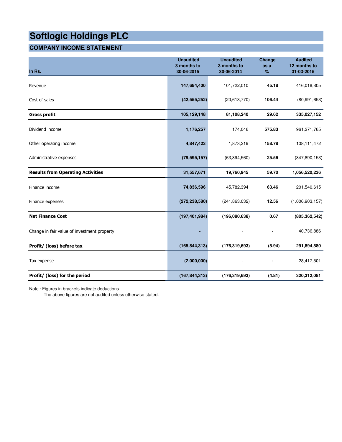# **COMPANY INCOME STATEMENT**

| In Rs.                                      | <b>Unaudited</b><br>3 months to<br>30-06-2015 | <b>Unaudited</b><br>3 months to<br>30-06-2014 | Change<br>as a<br>% | <b>Audited</b><br>12 months to<br>31-03-2015 |
|---------------------------------------------|-----------------------------------------------|-----------------------------------------------|---------------------|----------------------------------------------|
| Revenue                                     | 147,684,400                                   | 101,722,010                                   | 45.18               | 416,018,805                                  |
| Cost of sales                               | (42, 555, 252)                                | (20,613,770)                                  | 106.44              | (80, 991, 653)                               |
| <b>Gross profit</b>                         | 105,129,148                                   | 81,108,240                                    | 29.62               | 335,027,152                                  |
| Dividend income                             | 1,176,257                                     | 174,046                                       | 575.83              | 961,271,765                                  |
| Other operating income                      | 4,847,423                                     | 1,873,219                                     | 158.78              | 108,111,472                                  |
| Administrative expenses                     | (79, 595, 157)                                | (63, 394, 560)                                | 25.56               | (347, 890, 153)                              |
| <b>Results from Operating Activities</b>    | 31,557,671                                    | 19,760,945                                    | 59.70               | 1,056,520,236                                |
| Finance income                              | 74,836,596                                    | 45,782,394                                    | 63.46               | 201,540,615                                  |
| Finance expenses                            | (272, 238, 580)                               | (241, 863, 032)                               | 12.56               | (1,006,903,157)                              |
| <b>Net Finance Cost</b>                     | (197, 401, 984)                               | (196,080,638)                                 | 0.67                | (805, 362, 542)                              |
| Change in fair value of investment property |                                               |                                               | $\blacksquare$      | 40,736,886                                   |
| Profit/ (loss) before tax                   | (165, 844, 313)                               | (176, 319, 693)                               | (5.94)              | 291,894,580                                  |
| Tax expense                                 | (2,000,000)                                   |                                               |                     | 28,417,501                                   |
| Profit/ (loss) for the period               | (167, 844, 313)                               | (176, 319, 693)                               | (4.81)              | 320,312,081                                  |

Note : Figures in brackets indicate deductions.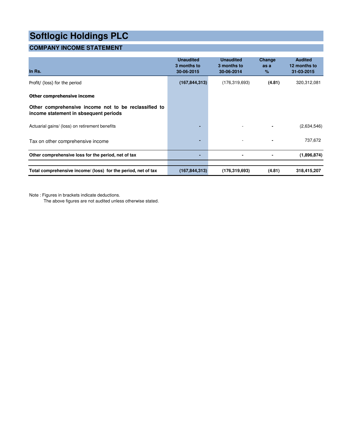# **COMPANY INCOME STATEMENT**

| In Rs.                                                                                        | <b>Unaudited</b><br>3 months to<br>30-06-2015 | <b>Unaudited</b><br>3 months to<br>30-06-2014 | Change<br>as a<br>$\%$ | <b>Audited</b><br>12 months to<br>31-03-2015 |
|-----------------------------------------------------------------------------------------------|-----------------------------------------------|-----------------------------------------------|------------------------|----------------------------------------------|
| Profit/ (loss) for the period                                                                 | (167, 844, 313)                               | (176, 319, 693)                               | (4.81)                 | 320,312,081                                  |
| Other comprehensive income                                                                    |                                               |                                               |                        |                                              |
| Other comprehensive income not to be reclassified to<br>income statement in sbsequent periods |                                               |                                               |                        |                                              |
| Actuarial gains/ (loss) on retirement benefits                                                | $\blacksquare$                                | $\overline{\phantom{a}}$                      |                        | (2,634,546)                                  |
| Tax on other comprehensive income                                                             | $\blacksquare$                                | $\overline{a}$                                |                        | 737,672                                      |
| Other comprehensive loss for the period, net of tax                                           | $\blacksquare$                                |                                               |                        | (1,896,874)                                  |
| Total comprehensive income/ (loss) for the period, net of tax                                 | (167, 844, 313)                               | (176, 319, 693)                               | (4.81)                 | 318,415,207                                  |

Note : Figures in brackets indicate deductions.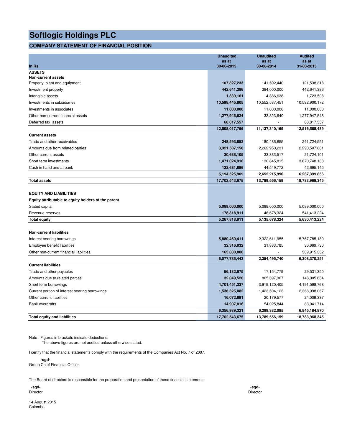### **COMPANY STATEMENT OF FINANCIAL POSITION**

|                                                     | <b>Unaudited</b><br>as at | <b>Unaudited</b><br>as at | <b>Audited</b><br>as at |
|-----------------------------------------------------|---------------------------|---------------------------|-------------------------|
| In Rs.                                              | 30-06-2015                | 30-06-2014                | 31-03-2015              |
| <b>ASSETS</b>                                       |                           |                           |                         |
| <b>Non-current assets</b>                           |                           |                           |                         |
| Property, plant and equipment                       | 107,827,233               | 141,592,440               | 121,538,318             |
| Investment property                                 | 442,641,386               | 394,000,000               | 442,641,386             |
| Intangible assets                                   | 1,339,161                 | 4,386,638                 | 1,723,508               |
| Investments in subsidiaries                         | 10,598,445,805            | 10,552,537,451            | 10,592,900,172          |
| Investments in associates                           | 11,000,000                | 11,000,000                | 11,000,000              |
| Other non-current financial assets                  | 1,277,946,624             | 33,823,640                | 1,277,947,548           |
| Deferred tax assets                                 | 68,817,557                |                           | 68,817,557              |
|                                                     | 12,508,017,766            | 11,137,340,169            | 12,516,568,489          |
| <b>Current assets</b>                               |                           |                           |                         |
| Trade and other receivables                         | 248,593,852               | 180,486,655               | 241,724,591             |
| Amounts due from related parties                    | 3,321,587,150             | 2,262,950,231             | 2,290,507,881           |
| Other current assets                                | 30,638,105                | 33,383,517                | 21,724,101              |
| Short term investments                              | 1,471,024,916             | 130,845,815               | 3,670,748,138           |
| Cash in hand and at bank                            | 122,681,886               | 44,549,772                | 42,695,145              |
|                                                     | 5,194,525,909             | 2,652,215,990             | 6,267,399,856           |
| <b>Total assets</b>                                 | 17,702,543,675            | 13,789,556,159            | 18,783,968,345          |
|                                                     |                           |                           |                         |
| <b>EQUITY AND LIABILITIES</b>                       |                           |                           |                         |
| Equity attributable to equity holders of the parent |                           |                           |                         |
| Stated capital                                      | 5,089,000,000             | 5,089,000,000             | 5,089,000,000           |
| Revenue reserves                                    | 178,818,911               | 46,678,324                | 541,413,224             |
| <b>Total equity</b>                                 | 5,267,818,911             | 5,135,678,324             | 5,630,413,224           |
|                                                     |                           |                           |                         |
| <b>Non-current liabilities</b>                      |                           |                           |                         |
| Interest bearing borrowings                         | 5,880,469,411             | 2,322,611,955             | 5,767,785,189           |
| Employee benefit liabilities                        | 32,316,032                | 31,883,785                | 30,669,730              |
| Other non-current financial liabilities             | 165,000,000               |                           | 509,915,332             |
|                                                     | 6,077,785,443             | 2,354,495,740             | 6,308,370,251           |
| <b>Current liabilities</b>                          |                           |                           |                         |
| Trade and other payables                            | 56,132,675                | 17, 154, 779              | 29,531,350              |
| Amounts due to related parties                      | 32,049,520                | 865,397,367               | 148,005,634             |
| Short term borrowings                               | 4,701,451,337             | 3,919,120,405             | 4,191,598,768           |
| Current portion of interest bearing borrowings      | 1,536,325,082             | 1,423,504,123             | 2,368,998,067           |
| Other current liabilities                           | 16,072,891                | 20,179,577                | 24,009,337              |
| <b>Bank overdrafts</b>                              | 14,907,816                | 54,025,844                | 83,041,714              |
|                                                     | 6,356,939,321             | 6,299,382,095             | 6,845,184,870           |
| <b>Total equity and liabilities</b>                 | 17,702,543,675            | 13,789,556,159            | 18,783,968,345          |

Note : Figures in brackets indicate deductions.

The above figures are not audited unless otherwise stated.

I certify that the financial statements comply with the requirements of the Companies Act No. 7 of 2007.

 **-sgd-**

Group Chief Financial Officer

The Board of directors is responsible for the preparation and presentation of these financial statements.

 **-sgd- -sgd-**Director Director

14 August 2015 Colombo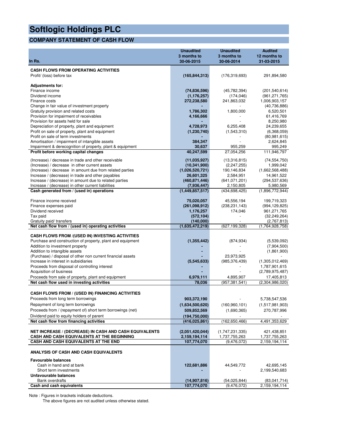## **COMPANY STATEMENT OF CASH FLOW**

|                                                                                                  | <b>Unaudited</b><br>3 months to | <b>Unaudited</b><br>3 months to | <b>Audited</b><br>12 months to     |
|--------------------------------------------------------------------------------------------------|---------------------------------|---------------------------------|------------------------------------|
| In Rs.                                                                                           | 30-06-2015                      | 30-06-2014                      | 31-03-2015                         |
| <b>CASH FLOWS FROM OPERATING ACTIVITIES</b>                                                      |                                 |                                 |                                    |
| Profit/ (loss) before tax                                                                        | (165, 844, 313)                 | (176, 319, 693)                 | 291,894,580                        |
|                                                                                                  |                                 |                                 |                                    |
| <b>Adjustments for:</b>                                                                          |                                 |                                 |                                    |
| Finance income<br>Dividend income                                                                | (74, 836, 596)<br>(1, 176, 257) | (45, 782, 394)<br>(174, 046)    | (201, 540, 614)<br>(961, 271, 765) |
| Finance costs                                                                                    | 272,238,580                     | 241,863,032                     | 1,006,903,157                      |
| Change in fair value of investment property                                                      |                                 |                                 | (40, 736, 886)                     |
| Gratuity provision and related costs                                                             | 1,786,302                       | 1,800,000                       | 6,520,501                          |
| Provision for impairment of receivables                                                          | 4,166,666                       |                                 | 61,416,769                         |
| Provision for assets held for sale                                                               |                                 |                                 | 8,250,980                          |
| Depreciation of property, plant and equipment<br>Profit on sale of property, plant and equipment | 4,728,973<br>(1, 230, 740)      | 6,255,408<br>(1,543,310)        | 24,239,655<br>(6,368,059)          |
| Profit on sale of term investments                                                               |                                 |                                 | (80, 981, 615)                     |
| Amortisation / impairment of intangible assets                                                   | 384,347                         |                                 | 2,624,845                          |
| Impairment & derecognition of property, plant & equipment                                        | 30,637                          | 955,259                         | 995,249                            |
| Profit before working capital changes                                                            | 40,247,599                      | 27,054,256                      | 111,946,797                        |
| (Increase) / decrease in trade and other receivable                                              | (11,035,927)                    | (13,316,815)                    | (74, 554, 750)                     |
| (Increase) / decrease in other current assets                                                    | (10, 341, 900)                  | (2,247,255)                     | 1,999,042                          |
| (Increase) / decrease in amount due from related parties                                         | (1,026,520,721)                 | 190,146,834                     | (1,662,568,488)                    |
| Increase / (decrease) in trade and other payables                                                | 26,601,325                      | 2,584,951                       | 14,961,522                         |
| Increase / (decrease) in amount due to related parties                                           | (460, 871, 446)                 | (641, 071, 201)                 | (294, 537, 636)                    |
| Increase / (decrease) in other current liabilities<br>Cash generated from / (used in) operations | (7,936,447)<br>(1,449,857,517)  | 2,150,805<br>(434, 698, 425)    | 5,980,569<br>(1,896,772,944)       |
|                                                                                                  |                                 |                                 |                                    |
| Finance income received                                                                          | 75,020,057                      | 45,556,194                      | 199,719,323                        |
| Finance expenses paid                                                                            | (261,098,912)                   | (238, 231, 143)                 | (994, 129, 825)                    |
| Dividend received                                                                                | 1,176,257                       | 174,046                         | 961, 271, 765                      |
| Tax paid                                                                                         | (572, 104)                      | $\overline{\phantom{a}}$        | (32, 249, 264)                     |
| Gratuity paid/ transfers<br>Net cash flow from / (used in) operating activities                  | (140,000)<br>(1,635,472,219)    | (627, 199, 328)                 | (2,767,813)<br>(1,764,928,758)     |
|                                                                                                  |                                 |                                 |                                    |
| <b>CASH FLOWS FROM /(USED IN) INVESTING ACTIVITIES</b>                                           |                                 |                                 |                                    |
| Purchase and construction of property, plant and equipment                                       | (1, 355, 442)                   | (874, 934)                      | (5,539,092)                        |
| Addition to investment property<br>Addition to intangible assets                                 |                                 |                                 | (7,904,500)                        |
| (Purchase) / disposal of other non current financial assets                                      |                                 | 23,973,925                      | (1,861,900)                        |
| Increase in interest in subsidiaries                                                             | (5,545,633)                     | (985, 376, 439)                 | (1,305,012,469)                    |
| Proceeds from disposal of controlling interest                                                   |                                 |                                 | 1,787,901,615                      |
| Acquisition of business                                                                          |                                 |                                 | (2,789,975,487)                    |
| Proceeds from sale of property, plant and equipment                                              | 6,979,111                       | 4,895,907                       | 17,405,813                         |
| Net cash flow used in investing activities                                                       | 78,036                          | (957, 381, 541)                 | (2,304,986,020)                    |
| <b>CASH FLOWS FROM / (USED IN) FINANCING ACTIVITIES</b>                                          |                                 |                                 |                                    |
| Proceeds from long term borrowings                                                               | 903,372,190                     |                                 | 5,738,547,536                      |
| Repayment of long term borrowings                                                                | (1,634,500,620)                 | (160, 960, 101)                 | (1,517,981,903)                    |
| Proceeds from / (repayment of) short term borrowings (net)                                       | 509,852,569                     | (1,690,365)                     | 270,787,996                        |
| Dividend paid to equity holders of parent                                                        | (194, 750, 000)                 |                                 |                                    |
| Net cash flow from financing activities                                                          | (416, 025, 861)                 | (162, 650, 466)                 | 4,491,353,629                      |
|                                                                                                  |                                 |                                 |                                    |
| <b>NET INCREASE / (DECREASE) IN CASH AND CASH EQUIVALENTS</b>                                    | (2,051,420,044)                 | (1,747,231,335)                 | 421,438,851                        |
| CASH AND CASH EQUIVALENTS AT THE BEGINNING                                                       | 2,159,194,114                   | 1,737,755,263                   | 1,737,755,263                      |
| CASH AND CASH EQUIVALENTS AT THE END                                                             | 107,774,070                     | (9,476,072)                     | 2,159,194,114                      |
| ANALYSIS OF CASH AND CASH EQUIVALENTS                                                            |                                 |                                 |                                    |
| <b>Favourable balances</b>                                                                       |                                 |                                 |                                    |
| Cash in hand and at bank                                                                         | 122,681,886                     | 44,549,772                      | 42,695,145                         |
| Short term investments                                                                           |                                 |                                 | 2,199,540,683                      |
| Unfavourable balances                                                                            |                                 |                                 |                                    |
| <b>Bank overdrafts</b><br>Cash and cash equivalents                                              | (14,907,816)<br>107,774,070     | (54, 025, 844)<br>(9,476,072)   | (83,041,714)<br>2,159,194,114      |
|                                                                                                  |                                 |                                 |                                    |

Note : Figures in brackets indicate deductions.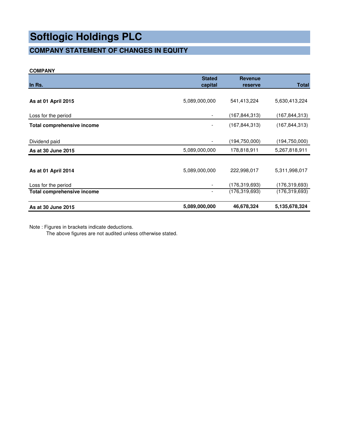# **COMPANY STATEMENT OF CHANGES IN EQUITY**

#### **COMPANY**

| In Rs.                     | <b>Stated</b><br>capital | <b>Revenue</b><br>reserve | <b>Total</b>    |
|----------------------------|--------------------------|---------------------------|-----------------|
|                            |                          |                           |                 |
| As at 01 April 2015        | 5,089,000,000            | 541,413,224               | 5,630,413,224   |
| Loss for the period        |                          | (167,844,313)             | (167,844,313)   |
| Total comprehensive income |                          | (167, 844, 313)           | (167, 844, 313) |
| Dividend paid              |                          | (194,750,000)             | (194,750,000)   |
| As at 30 June 2015         | 5,089,000,000            | 178,818,911               | 5,267,818,911   |
| As at 01 April 2014        | 5,089,000,000            | 222,998,017               | 5,311,998,017   |
| Loss for the period        |                          | (176,319,693)             | (176,319,693)   |
| Total comprehensive income | $\overline{\phantom{a}}$ | (176, 319, 693)           | (176,319,693)   |
| As at 30 June 2015         | 5,089,000,000            | 46,678,324                | 5,135,678,324   |

Note : Figures in brackets indicate deductions.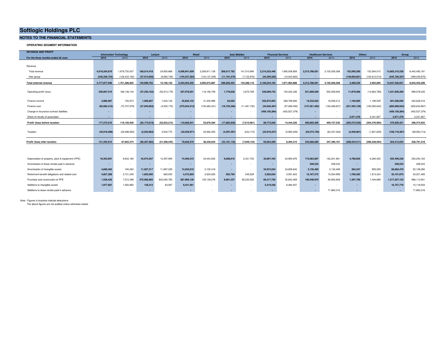#### **NOTES TO THE FINANCIAL STATEMENTS**

**OPERATING SEGMENT INFORMATION**

| <b>REVENUE AND PROFIT</b>                         | <b>Information Technology</b> |                          |                | Leisure        |                          | Retail          |                          | <b>Auto Mobiles</b> |                          | <b>Financial Services</b> |                | <b>Healthcare Services</b> |                          | Others          | Group           |                 |
|---------------------------------------------------|-------------------------------|--------------------------|----------------|----------------|--------------------------|-----------------|--------------------------|---------------------|--------------------------|---------------------------|----------------|----------------------------|--------------------------|-----------------|-----------------|-----------------|
| For the three months ended 30 June                | 2015                          | 2014                     | 2015           | 2014           | 2015                     | 2014            | 2015                     | 2014                | 2015                     | 2014                      | 2015           | 2014                       | 2015                     | 2014            | 2015            | 2014            |
|                                                   |                               |                          |                |                |                          |                 |                          |                     |                          |                           |                |                            |                          |                 |                 |                 |
| Revenue                                           |                               |                          |                |                |                          |                 |                          |                     |                          |                           |                |                            |                          |                 |                 |                 |
| Total revenue                                     | 4.018.204.670                 | 1.879.720.007            | 168.014.418    | 24.850.868     | 4.508.941.659            | 2.208.811.126   | 308.017.782              | 141.510.994         | 2.214.253.448            | 982.008.808               | 2.313.788.051  | 2.102.026.368              | 152.090.200              | 103.564.010     | 13.683.310.228  | 8.442.492.181   |
| Inter group                                       | (240.326.724)                 | (128.433.182)            | (37.014.656)   | (9.690.748)    | (154, 437, 304)          | (143.137.239)   | (11, 191, 579)           | (7, 122, 876)       | (54,209,283)             | (10.043.920)              | $\sim$         | $\sim$                     | (148,600,661)            | (100.612.010)   | (645,780,207    | (399,039,975)   |
| <b>Total external revenue</b>                     | 3,777,877,946                 | 1.751.286.825            | 130.999.762    | 15.160.120     | 4.354.504.355            | 2.065.673.887   | 296.826.203              | 134.388.118         | 2.160.044.165            | 1.971.964.888             | 2.313.788.051  | 2.102.026.368              | 3.489.539                | 2.952.000       | 13.037.530.021  | 8.043.452.206   |
|                                                   |                               |                          |                |                |                          |                 |                          |                     |                          |                           |                |                            |                          |                 |                 |                 |
| Operating profit/ (loss)                          | 256.067.515                   | 186.138.144              | (47, 235, 163) | (52, 913, 179) | 357,076,831              | 118,158,709     | 1,778,838                | 3,875,769           | 330.699.743              | 105.242.436               | 521.689.039    | 553.939.945                | 11.879.566               | (14, 863, 789)  | 1.431.956.369   | 899.578.035     |
|                                                   |                               |                          |                |                |                          |                 |                          |                     |                          |                           |                |                            |                          |                 |                 |                 |
| Finance income                                    | 3,886,907                     | 740,673                  | 1,006,807      | 1,632,140      | 25,826,123               | 31,202,996      | 62,692                   | $\sim$              | 252,875,954              | 368,798,656               | 16,232,832     | 19,056,212                 | 1,166,685                | 1,195,539       | 301,058,000     | 422,626,216     |
| Finance cost                                      | (82, 682, 412)                | (70.727.878)             | (37.945.663)   | (4, 552, 176)  | (272.044.413)            | (125, 483, 321) | (19, 725, 366)           | (11, 491, 730)      | (34.646.467)             | (57.069.493)              | (137.261.462)  | (163, 268, 627)            | (221, 593, 159)          | (193,050,642)   | (805.898.942)   | (625, 643, 867) |
| Change in insurance contract liabilities          | $\overline{\phantom{a}}$      |                          |                |                |                          |                 |                          | - 2                 | (459, 156, 384)          | (402, 527, 379)           | ۰.             |                            |                          |                 | (459, 156, 384) | (402, 527, 379) |
| Share of results of associates                    |                               |                          |                |                |                          |                 |                          |                     | ٠                        |                           | $\sim$         |                            | 2.971.378                | 2.341.927       | 2.971.378       | 2,341,927       |
| Profit/ (loss) before taxation                    | 177,272,010                   | 116,150,939              | (84, 174, 019) | (55.833.215)   | 110.858.541              | 23,878,384      | (17,883,836)             | (7,615,961)         | 89.772.846               | 14.444.220                | 400,660,409    | 409,727,530                | (205, 575, 530)          | (204, 376, 965) | 470.930.421     | 296,374,932     |
|                                                   |                               |                          |                |                |                          |                 |                          |                     |                          |                           |                |                            |                          |                 |                 |                 |
| Taxation                                          | (45,916,098)                  | (28, 298, 565)           | (2,033,963)    | 4,524,770      | (32,029,971)             | 24,562,250      | (4, 297, 297)            | (233, 172)          | (23, 918, 337)           | (5,950,005)               | (55, 573, 740) | (62, 337, 363)             | (2,948,981)              | (1,851,629)     | (166, 718, 387) | (69, 583, 714)  |
|                                                   |                               |                          |                |                |                          |                 |                          |                     |                          |                           |                |                            |                          |                 |                 |                 |
| Profit/ (loss) after taxation                     | 131.355.912                   | 87.852.374               | (86.207.982)   | (51.308.445)   | 78.828.570               | 48.440.634      | (22, 181, 133)           | (7.849.133)         | 65.854.509               | 8.494.215                 | 345,086,669    | 347.390.167                | (208,524,511             | (206.228.594)   | 304.212.034     | 226,791,218     |
|                                                   |                               |                          |                |                |                          |                 |                          |                     |                          |                           |                |                            |                          |                 |                 |                 |
|                                                   |                               |                          |                |                |                          |                 |                          |                     |                          |                           |                |                            |                          |                 |                 |                 |
| Depreciation of property, plant & equipment (PPE) | 16,353,691                    | 9,633,180                | 42.974.267     | 13,397,959     | 74,406,372               | 34,443,932      | 9,008,816                | 2,341,703           | 35.897.445               | 24,950,976                | 172,062,807    | 162,201,961                | 4,786,830                | 6.284.452       | 355,490,228     | 253,254,163     |
| Amortisation of lease rentals paid in advance     | $\overline{\phantom{a}}$      | $\overline{\phantom{a}}$ |                | <b>.</b>       | $\overline{\phantom{a}}$ | $\sim$          | $\overline{\phantom{a}}$ | $\sim$              | $\overline{\phantom{a}}$ | $\sim$                    | 259,233        | 259,233                    | $\overline{\phantom{a}}$ | <b>.</b>        | 259,233         | 259,233         |
| Amortisation of intangible assets                 | 4,690,493                     | 194,263                  | 11.927.317     | 11,897,029     | 14,555,810               | 2,102,418       | ٠                        | $\sim$              | 34,972,034               | 34,829,842                | 2,130,469      | 2,130,469                  | 384,347                  | 955.259         | 68,660,470      | 52,109,280      |
| Retirement benefit obligations and related cost   | 4,827,268                     | 3,731,245                | 1,852,000      | 660,000        | 4,472,605                | 2,624,625       | 502,794                  | 545,629             | 5,583,634                | 5,091,643                 | 16, 167, 272   | 15,554,999                 | 1,786,302                | 1,813,324       | 35, 191, 875    | 30,021,465      |
| Purchase and construction of PPE                  | 1,536,420                     | 7,512,398                | 375,966,860    | 642,050,780    | 587,968,126              | 105, 139, 276   | 9.691.237                | 85,220,520          | 60,417,750               | 32,843,469                | 180.548.970    | 93,902,809                 | 1.397.790                | 1,444,689       | 1,217,527,153   | 968,113,941     |
| Additions to intangible assets                    | 1,877,667                     | 1,550,860                | 129.312        | 83,587         | 9,431,561                | $\sim$          | $\overline{\phantom{a}}$ | $\sim$              | 5,319,236                | 8,484,057                 | $\sim$         |                            | $\overline{\phantom{a}}$ | $\sim$          | 16,757,776      | 10,118,504      |
| Additions to lease rentals paid in advance        | $\overline{\phantom{a}}$      |                          |                |                | $\sim$                   |                 |                          |                     | $\sim$                   |                           | ۰.             | 71.883.316                 |                          |                 | ۰.              | 71,883,316      |

Note : Figures in brackets indicate deductions.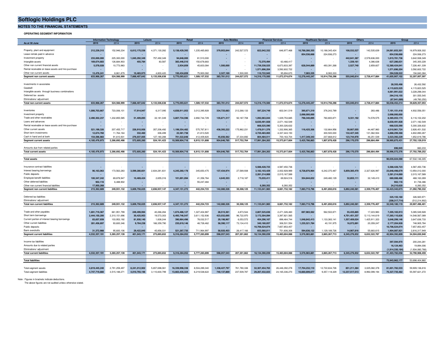**NOTES TO THE FINANCIAL STATEMENTS**

#### **OPERATING SEGMENT INFORMATION**

|                                                     |               | <b>Information Technology</b> |               | Leisure       |                |               | <b>Auto Mobil</b> |             |                   | <b>Financial Services</b> | <b>Healthcare Services</b> |                | Others         |               | Group           |                |
|-----------------------------------------------------|---------------|-------------------------------|---------------|---------------|----------------|---------------|-------------------|-------------|-------------------|---------------------------|----------------------------|----------------|----------------|---------------|-----------------|----------------|
| As at 30 June                                       | 2015          | 2014                          | 2015          | 2014          | 2015           | 2014          | 2015              | 2014        | 2015              | 2014                      | 2015                       | 2014           | 2015           | 2014          | 2015            | 2014           |
|                                                     |               |                               |               |               |                |               |                   |             |                   |                           |                            |                |                |               |                 |                |
| Property, plant and equipment                       | 212,239,315   | 152,946,234                   | 6,612,175,536 | 4,371,130,282 | 5.138.429.393  | 1,235,465,683 | 379.953.844       | 242,527,572 | 822.042.332       | 646, 977, 468             | 10.788.280.355             | 10,188,345,424 | 108.532.527    | 142,535,639   | 24.061.653.301  | 16,979,928,302 |
| Lease rentals paid in advance                       |               |                               |               |               |                |               |                   |             |                   |                           | 854,536,668                | 224,936,273    |                |               | 854,536,668     | 224,936,273    |
| Investment property                                 | 233,000,000   | 225,300,000                   | 1,045,292,349 | 757,492,349   | 94,848,000     | 81,510,000    |                   |             |                   |                           |                            |                | 442,641,387    | 2,578,636,000 | 1,815,781,736   | 3,642,938,349  |
| Intangible assets                                   | 169,674,683   | 126,684,903                   | 455,784       | 83,587        | 383,446,510    | 150,678,683   |                   |             | 72,370,494        | 63,466,417                |                            |                | 1,339,161      | 4,386,638     | 627,286,631     | 345,300,228    |
| Other non current financial assets                  | 5,578,028     | 10,773,983                    |               |               | 2,934,859      | 45,603,084    | 1,500,000         |             | 11,739,338,525    | 6,673,833,397             | 628,544,889                | 493,391,268    | 2,527,740      | 2,859,607     | 12,380,424,041  | 7,226,461,339  |
| Rental receivable on lease assets and hire purchase |               |                               |               |               |                |               |                   |             | 1,571,696,204     | 3,592,602,722             |                            |                |                |               | 1,571,696,204   | 3,592,602,722  |
| Other non current assets                            | 13,476.241    | 8.861.879                     | 10.483.973    | 4.800.420     | 150.434.859    | 75,900,082    | 2.327.169         | 1.500.000   | 110,722,945       | 95.694.670                | 7,083,335                  | 8.083.333      |                |               | 294.528.522     | 194.840.384    |
| Segment non current assets                          | 633.968.267   | 524,566,999                   | 7,668,407,642 | 5,133,506,638 | 5,770,093,621  | 1,589,157,532 | 383,781,012       | 244,027,572 | 14,316,170,500    | 11,072,574,674            | 12,278,445,247             | 10,914,756,298 | 555,040,814    | 2,728,417,884 | 41,605,907,102  | 32,207,007,597 |
|                                                     |               |                               |               |               |                |               |                   |             |                   |                           |                            |                |                |               |                 |                |
| Investments in associates                           |               |                               |               |               |                |               |                   |             |                   |                           |                            |                |                |               | 28.355.498      | 26.432.592     |
|                                                     |               |                               |               |               |                |               |                   |             |                   |                           |                            |                |                |               |                 |                |
| Goodwill                                            |               |                               |               |               |                |               |                   |             |                   |                           |                            |                |                |               | 4,115,823,525   | 4,115,823,525  |
| Intangible assets through business combinations     |               |                               |               |               |                |               |                   |             |                   |                           |                            |                |                |               | 4,061,991,022   | 3,228,298,044  |
| Deferred tax assets                                 |               |                               |               |               |                |               |                   |             |                   |                           |                            |                |                |               | 294,316,155     | 301,555,545    |
| Eliminations/ adjustment                            |               |                               |               |               |                |               |                   |             |                   |                           |                            |                |                |               | (67.941.089)    | (49,760,250)   |
| Total non current assets                            | 633,968,267   | 524,566,999                   | 7,668,407,642 | 5,133,506,638 | 5,770,093,621  | 1,589,157,532 | 383,781,012       | 244,027,572 | 14,316,170,500    | 11,072,574,674            | 12,278,445,247             | 10,914,756,298 | 555,040,814    | 2,728,417,884 | 50,038,452,214  | 39,829,357,053 |
|                                                     |               |                               |               |               |                |               |                   |             |                   |                           |                            |                |                |               |                 |                |
| Inventories                                         | 1,006,703,667 | 723,006,101                   | 17,914,947    | 6,317,095     | 4,838,911,053  | 3,012,395,928 | 334,725,683       | 212,268,133 | 597,224,749       | 602,041,519               | 395,671,319                | 376,243,789    |                | 283,486       | 7,191,151,418   | 4,932,556,051  |
| Investment property                                 |               |                               |               |               |                |               |                   |             |                   |                           | 2.698.000.000              |                |                |               | 2.698.000.000   |                |
| Trade and other receivables                         | 2.490.302.237 | 1.232.855.585                 | 51.409.893    | 33,181,049    | 3.807.734.596  | 2,892,744,729 | 135,871,317       | 92.187.708  | 1.092.063.044     | 1.029.753.685             | 798.340.895                | 760,800,871    | 9.331.192      | 74,578,575    | 8.385.053.174   | 6,116,102,202  |
| Loans and advances                                  |               |                               |               |               |                |               |                   |             | 8,630,491,928     | 2,071,182,549             |                            |                |                |               | 8,630,491,928   | 2,071,182,549  |
| Rental receivable on lease assets and hire purchase |               |                               |               |               |                |               |                   |             | 668,525,590       | 5,300,326,632             |                            |                |                |               | 668,525,590     | 5,300,326,632  |
| Other current assets                                | 521.199.326   | 207,455,717                   | 226.910.956   | 357,206,492   | 1.199.354.482  | 575,767,811   | 438.393.222       | 175.962.231 | 1.478.011.376     | 1,332,906,365             | 116,425,306                | 132,664,956    | 30.667.055     | 44.487.960    | 4,010,961,724   | 2,826,451,532  |
| Short term investments                              |               |                               |               |               |                |               |                   |             |                   |                           |                            |                |                |               |                 |                |
|                                                     | 12,674,760    | 11,764,164                    | 332,460       | 306,499       | 22,381,738     | 21,813,520    |                   |             | 4,720,483,065     | 4,337,443,150             |                            | 300,500,000    | 132,427,345    | 131,062,934   | 4,888,299,368   | 4,802,890,267  |
| Cash in hand and at bank                            | 154,596,983   | 91,610,931                    | 276,037,005   | 127,180,288   | 701,522,848    | 412,409,820   | 45,656,562        | 37,334,692  | 804,484,511       | 700,163,704               | 1,417,349,343              | 237,668,812    | 123,744,978    | 46,251,539    | 3,523,392,229   | 1,652,619,786  |
| Segment current assets                              | 4,185,476,973 | 2,266,692,498                 | 572,605,260   | 524,191,423   | 10,569,904,716 | 6,915,131,808 | 954,646,785       | 517,752,764 | 17,991,284,263    | 15,373,817,604            | 5,425,786,863              | 1,807,878,428  | 296,170,570    | 296,664,494   | 39,995,875,431  | 27,702,129,019 |
|                                                     |               |                               |               |               |                |               |                   |             |                   |                           |                            |                |                |               |                 |                |
| Amounts due from related parties                    |               |                               |               |               |                |               |                   |             |                   |                           |                            |                |                |               | 696.945         | 660.233        |
| <b>Total current assets</b>                         | 4.185.476.973 | 2,266,692,498                 | 572,605,260   | 524,191,423   | 10,569,904,716 | 6,915,131,808 | 954,646,785       | 517,752,764 | 17,991,284,263    | 15,373,817,604            | 5,425,786,863              | 1,807,878,428  | 296,170,570    | 296.664.494   | 39,996,572,376  | 27,702,789,252 |
|                                                     |               |                               |               |               |                |               |                   |             |                   |                           |                            |                |                |               |                 |                |
| <b>Total assets</b>                                 |               |                               |               |               |                |               |                   |             |                   |                           |                            |                |                |               | 90,035,024,590  | 67.532.146.305 |
|                                                     |               |                               |               |               |                |               |                   |             |                   |                           |                            |                |                |               |                 |                |
| Insurance contract liabilities                      |               |                               |               |               |                |               |                   |             | 5,588,428,723     | 4,587,450,736             |                            |                |                |               | 5,588,428,723   | 4,587,450,736  |
| Interest bearing borrowings                         | 96,163,063    | 173,563,283                   | 3,599,280,601 | 2,834,281,831 | 4,245,260,178  | 345,650,475   | 137,434,974       | 27,589,938  | 3,182,103,429     | 2,002,928,989             | 6,728,870,964              | 6,242,370,487  | 5,859,385,470  | 2,327,626,997 | 23,848,498,679  | 13,954,012,000 |
| Public deposits                                     |               |                               |               |               |                |               |                   |             | 2,281,214,069     | 2,015,167,589             |                            |                |                |               | 2,281,214,069   | 2,015,167,589  |
| Employee benefit liabilities                        | 100,347,242   | 69,878,947                    | 10,469,424    | 2,655,316     | 101,891,094    | 41,356,764    | 4,645,353         | 2,718,187   | 75,035,411        | 69,924,516                | 354,844,832                | 249,480,129    | 32,855,111     | 32,149,410    | 680,088,466     | 468,163,269    |
| Other deferred liabilities                          | 902,116       | 6,488,902                     |               |               |                | 55,247,484    |                   |             |                   |                           |                            |                |                |               | 902,116         | 61,736,386     |
| Other non current financial liabilities             | 17.950.268    |                               |               |               |                |               |                   |             | 6.260.352         | 6,260,352                 |                            |                |                |               | 24.210.620      | 6,260,352      |
| Seament non current liabilities                     | 215,362,689   | 249.931.132                   | 3.609.750.025 | 2.836.937.147 | 4.347.151.272  | 442.254.723   | 142.080.326       | 30,308.125  | 11.133.041.983    | 8.681.732.182             | 7,083,715,796              | 6.491.850.616  | 5.892.240.581  | 2.359.776.407 | 32.423.342.673  | 21.092.790.332 |
|                                                     |               |                               |               |               |                |               |                   |             |                   |                           |                            |                |                |               |                 |                |
| Deferred tax liabilities                            |               |                               |               |               |                |               |                   |             |                   |                           |                            |                |                |               | 325, 155, 160   | 326,920,97     |
| Fliminations/ adjustment                            |               |                               |               |               |                |               |                   |             |                   |                           |                            |                |                |               |                 |                |
|                                                     |               |                               |               |               |                |               |                   |             |                   |                           |                            |                |                |               | (208, 317, 714) | (512,214,902)  |
| <b>Total non current liabilities</b>                | 215,362,689   | 249,931,132                   | 3,609,750,025 | 2,836,937,147 | 4,347,151,272  | 442,254,723   | 142,080,326       | 30,308,125  | 11,133,041,983    | 8,681,732,182             | 7,083,715,796              | 6,491,850,616  | 5,892,240,581  | 2,359,776,407 | 32,540,180,119  | 20,907,496,401 |
|                                                     |               |                               |               |               |                |               |                   |             |                   |                           |                            |                |                |               |                 |                |
| Trade and other payables                            | 1,691,719,367 | 661,951,799                   | 249,499,994   | 40,266,284    | 1,674,486,127  | 1,327,404,987 | 28,515,361        | 4,873,544   | 2,807,525,636     | 2,471,326,460             | 697,983,562                | 562,502,871    | 55,435,865     | 17,223,983    | 7,205,165,913   | 5,085,549,928  |
| Short term borrowings                               | 2,444,150,200 | 2,310,151,696                 | 30,425,953    | 19,573,303    | 6,493,746,547  | 3.611.152.936 | 423.032.695       | 96,722,970  | 3.172.304.094     | 3,397,821,565             |                            |                | 4,701,451,337  | 5,113,144,619 | 17.265.110.826  | 14,548,567,089 |
| Current portion of interest bearing borrowings      | 83,657,939    | 103,953,192                   | 81,930,140    | 1,838,244     | 390,964,496    | 78,032,517    | 29.198.967        | 6,053,572   | 454,296,167       | 898.464.744               | 1.048.842.413              | 1,133,383,141  | 1,557,409,024  | 1,425,911,323 | 3,646,299,146   | 3,647,636,733  |
| Other current liabilities                           | 281.456.697   | 93,600,346                    | 9,764,238     | 166,359,790   | 235.819.146    | 48,728,462    | 58.390.117        | 73.134.410  | 340.180.057       | 306.531.554               | 1.235.521.784              | 40.191.975     | 16,072,891     | 20.359.247    | 2.177.204.928   | 748,905,784    |
| Public deposits                                     |               |                               |               |               |                |               |                   |             | 10,706,524,074    | 7,657,853,457             |                            |                |                |               | 10,706,524,074  | 7,657,853,457  |
| <b>Bank overdrafts</b>                              | 31,372,988    | 95,600,106                    | 29,422,845    | 45.856.031    | 521,267,735    | 711.964.997   | 58.920.403        | 26.417.166  | 653,560,011       | 751,606,308               | 594,636,122                | 1,129,189,726  | 14,907,816     | 55.683.615    | 1,904,087,921   | 2,816,317,949  |
| <b>Segment current liabilities</b>                  | 4,532,357,191 | 3,265,257,139                 | 401,043,171   | 273,893,652   | 9,316,284,052  | 5,777,283,899 | 598.057.543       | 207.201.662 | 18.134.390.039    | 15,483,604,088            | 3.576.983.881              | 2,865,267,713  | 6,345,276,932  | 6,632,322,787 | 42,904,392,809  | 34,504,830,940 |
|                                                     |               |                               |               |               |                |               |                   |             |                   |                           |                            |                |                |               |                 |                |
| Income tax liabilities                              |               |                               |               |               |                |               |                   |             |                   |                           |                            |                |                |               | 397,594,970     | 200,244,281    |
| Amounts due to related parties                      |               |                               |               |               |                |               |                   |             |                   |                           |                            |                |                |               | 16,124,463      | 19,894,006     |
| Eliminations/ adjustment                            |               |                               |               |               |                |               |                   |             |                   |                           |                            |                |                |               | (1,914,330,184) | (1.934,060,768 |
| <b>Total current liabilities</b>                    | 4,532,357,191 | 3,265,257,139                 | 401,043,171   | 273,893,652   | 9,316,284,052  | 5,777,283,899 | 598,057,543       | 207,201,662 | 18,134,390,039    | 15,483,604,088            | 3,576,983,881              | 2,865,267,713  | 6,345,276,932  | 6,632,322,787 | 41,403,782,058  | 32,790,908,459 |
|                                                     |               |                               |               |               |                |               |                   |             |                   |                           |                            |                |                |               |                 |                |
| <b>Total liabilities</b>                            |               |                               |               |               |                |               |                   |             |                   |                           |                            |                |                |               | 73,943,962,177  | 53.698.404.860 |
|                                                     |               |                               |               |               |                |               |                   |             |                   |                           |                            |                |                |               |                 |                |
|                                                     |               |                               |               |               |                |               |                   |             |                   |                           |                            |                |                |               |                 |                |
| Total segment assets                                | 4.819.445.240 | 2.791.259.497                 | 8.241.012.902 | 5.657.698.061 | 16.339.998.338 | 8.504.289.340 | 1.338.427.797     | 761.780.336 | 32.307.454.763    | 26.446.392.278            | 17.704.232.110             | 12.722.634.726 | 851.211.384    | 3.025.082.378 | 81.601.782.533  | 59,909,136,616 |
| <b>Total segment liabilities</b>                    | 4,747,719,880 | 3,515,188,271                 | 4,010,793,196 | 3,110,830,799 | 13,663,435,324 | 6,219,538,622 | 740,137,869       | 237,509,787 | 29, 267, 432, 023 | 24, 165, 336, 270         | 10,660,699,677             | 9,357,118,329  | 12,237,517,513 | 8,992,099,194 | 75,327,735,482  | 55,597,621,272 |

Note : Figures in brackets indicate deductions.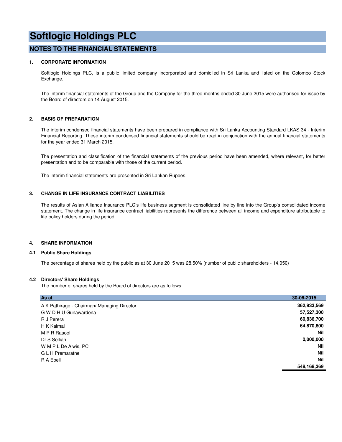### **NOTES TO THE FINANCIAL STATEMENTS**

#### **1. CORPORATE INFORMATION**

Softlogic Holdings PLC, is a public limited company incorporated and domiciled in Sri Lanka and listed on the Colombo Stock Exchange.

The interim financial statements of the Group and the Company for the three months ended 30 June 2015 were authorised for issue by the Board of directors on 14 August 2015.

#### **2. BASIS OF PREPARATION**

The interim condensed financial statements have been prepared in compliance with Sri Lanka Accounting Standard LKAS 34 - Interim Financial Reporting. These interim condensed financial statements should be read in conjunction with the annual financial statements for the year ended 31 March 2015.

The presentation and classification of the financial statements of the previous period have been amended, where relevant, for better presentation and to be comparable with those of the current period.

The interim financial statements are presented in Sri Lankan Rupees.

#### **3. CHANGE IN LIFE INSURANCE CONTRACT LIABILITIES**

The results of Asian Alliance Insurance PLC's life business segment is consolidated line by line into the Group's consolidated income statement. The change in life insurance contract liabilities represents the difference between all income and expenditure attributable to life policy holders during the period.

#### **4. SHARE INFORMATION**

#### **4.1 Public Share Holdings**

The percentage of shares held by the public as at 30 June 2015 was 28.50% (number of public shareholders - 14,050)

#### **4.2 Directors' Share Holdings**

The number of shares held by the Board of directors are as follows:

| As at                                       | 30-06-2015  |
|---------------------------------------------|-------------|
| A K Pathirage - Chairman/ Managing Director | 362,933,569 |
| G W D H U Gunawardena                       | 57,527,300  |
| R J Perera                                  | 60,836,700  |
| H K Kaimal                                  | 64,870,800  |
| M P R Rasool                                | <b>Nil</b>  |
| Dr S Selliah                                | 2,000,000   |
| W M P L De Alwis, PC                        | <b>Nil</b>  |
| G L H Premaratne                            | <b>Nil</b>  |
| R A Ebell                                   | <b>Nil</b>  |
|                                             | 548,168,369 |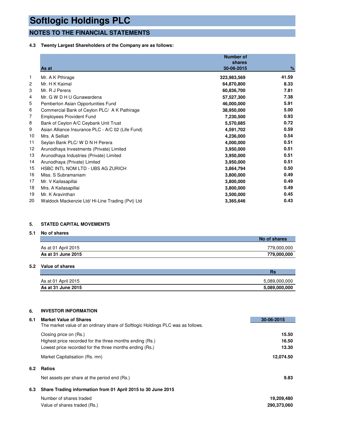## **NOTES TO THE FINANCIAL STATEMENTS**

#### **4.3 Twenty Largest Shareholders of the Company are as follows:**

|    | As at                                             | <b>Number of</b><br>shares<br>30-06-2015 | $\%$  |
|----|---------------------------------------------------|------------------------------------------|-------|
| 1  | Mr. A K Pthirage                                  | 323,983,569                              | 41.59 |
| 2  | Mr. H K Kaimal                                    | 64,870,800                               | 8.33  |
| 3  | Mr. R J Perera                                    | 60,836,700                               | 7.81  |
| 4  | Mr. G W D H U Gunawardena                         | 57,527,300                               | 7.38  |
| 5  | Pemberton Asian Opportunities Fund                | 46,000,000                               | 5.91  |
| 6  | Commercial Bank of Ceylon PLC/ A K Pathirage      | 38,950,000                               | 5.00  |
| 7  | <b>Employees Provident Fund</b>                   | 7,230,500                                | 0.93  |
| 8  | Bank of Ceylon A/C Ceybank Unit Trust             | 5,570,685                                | 0.72  |
| 9  | Asian Alliance Insurance PLC - A/C 02 (Life Fund) | 4,591,702                                | 0.59  |
| 10 | Mrs. A Selliah                                    | 4,236,000                                | 0.54  |
| 11 | Seylan Bank PLC/ W D N H Perera                   | 4,000,000                                | 0.51  |
| 12 | Arunodhaya Investments (Private) Limited          | 3,950,000                                | 0.51  |
| 13 | Arunodhaya Industries (Private) Limited           | 3,950,000                                | 0.51  |
| 14 | Arunodhaya (Private) Limited                      | 3,950,000                                | 0.51  |
| 15 | <b>HSBC INTL NOM LTD - UBS AG ZURICH</b>          | 3,864,794                                | 0.50  |
| 16 | Miss. S Subramaniam                               | 3,800,000                                | 0.49  |
| 17 | Mr. V Kailasapillai                               | 3,800,000                                | 0.49  |
| 18 | Mrs. A Kailasapillai                              | 3,800,000                                | 0.49  |
| 19 | Mr. K Aravinthan                                  | 3,500,000                                | 0.45  |
| 20 | Waldock Mackenzie Ltd/ Hi-Line Trading (Pvt) Ltd  | 3,365,646                                | 0.43  |

#### **5. STATED CAPITAL MOVEMENTS**

#### **5.1 No of shares**

|                     | No of shares |
|---------------------|--------------|
| As at 01 April 2015 | 779,000,000  |
| As at 31 June 2015  | 779,000,000  |

#### **5.2 Value of shares**

|                     | Rs            |
|---------------------|---------------|
| As at 01 April 2015 | 5,089,000,000 |
| As at 31 June 2015  | 5,089,000,000 |

#### **6. INVESTOR INFORMATION**

| 6.1 | <b>Market Value of Shares</b>                                                   | 30-06-2015  |
|-----|---------------------------------------------------------------------------------|-------------|
|     | The market value of an ordinary share of Softlogic Holdings PLC was as follows. |             |
|     | Closing price on (Rs.)                                                          | 15.50       |
|     | Highest price recorded for the three months ending (Rs.)                        | 16.50       |
|     | Lowest price recorded for the three months ending (Rs.)                         | 13.30       |
|     | Market Capitalisation (Rs. mn)                                                  | 12,074.50   |
| 6.2 | <b>Ratios</b>                                                                   |             |
|     | Net assets per share at the period end (Rs.)                                    | 9.83        |
| 6.3 | Share Trading information from 01 April 2015 to 30 June 2015                    |             |
|     | Number of shares traded                                                         | 19,209,480  |
|     | Value of shares traded (Rs.)                                                    | 290,373,060 |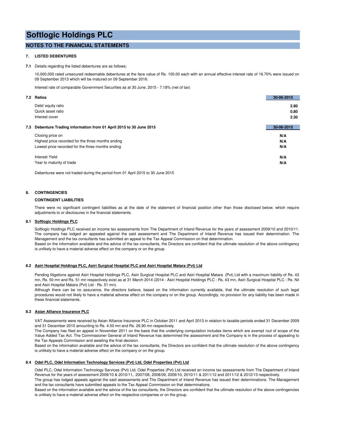### **NOTES TO THE FINANCIAL STATEMENTS**

#### **7. LISTED DEBENTURES**

**7.1** Details regarding the listed debentures are as follows;

10,000,000 rated unsecured redeemable debentures at the face value of Rs. 100.00 each with an annual effective interest rate of 16.70% were issued on 09 September 2013 which will be matured on 09 September 2016.

Interest rate of comparable Government Securities as at 30 June, 2015 - 7.18% (net of tax)

|     | 7.2 Ratios                                                       | 30-06-2015 |
|-----|------------------------------------------------------------------|------------|
|     | Debt/ equity ratio                                               | 2.80       |
|     | Quick asset ratio                                                | 0.80       |
|     | Interest cover                                                   | 2.30       |
| 7.3 | Debenture Trading information from 01 April 2015 to 30 June 2015 | 30-06-2015 |
|     | Closing price on                                                 | N/A        |
|     | Highest price recorded for the three months ending               | N/A        |
|     | Lowest price recorded for the three months ending                | N/A        |
|     | <b>Interest Yield</b>                                            | N/A        |
|     | Year to maturity of trade                                        | N/A        |
|     |                                                                  |            |

Debentures were not traded during the period from 01 April 2015 to 30 June 2015

#### **8. CONTINGENCIES**

#### **CONTINGENT LIABILITIES**

There were no significant contingent liabilities as at the date of the statement of financial position other than those disclosed below, which require adjustments to or disclosures in the financial statements.

#### **8.1 Softlogic Holdings PLC**

Softlogic Holdings PLC received an income tax assessments from The Department of Inland Revenue for the years of assessment 2009/10 and 2010/11. The company has lodged an appealed against the said assessment and The Department of Inland Revenue has issued their determination. The Management and the tax consultants has submitted an appeal to the Tax Appeal Commission on that determination.

Based on the information available and the advice of the tax consultants, the Directors are confident that the ultimate resolution of the above contingency is unlikely to have a material adverse effect on the company or on the group.

#### **8.2 Asiri Hospital Holdings PLC, Asiri Surgical Hospital PLC and Asiri Hospital Matara (Pvt) Ltd**

Pending litigations against Asiri Hospital Holdings PLC, Asiri Surgical Hospital PLC and Asiri Hospital Matara (Pvt) Ltd with a maximum liability of Rs. 43 mn, Rs. 50 mn and Rs. 51 mn respectively exist as at 31 March 2014 (2014 - Asiri Hospital Holdings PLC : Rs. 43 mn, Asiri Surgical Hospital PLC : Rs. Nil and Asiri Hospital Matara (Pvt) Ltd - Rs. 51 mn).

Although there can be no assurance, the directors believe, based on the information currently available, that the ultimate resolution of such legal procedures would not likely to have a material adverse effect on the company or on the group. Accordingly, no provision for any liability has been made in these financial statements.

#### **8.3 Asian Alliance Insurance PLC**

VAT Assessments were received by Asian Alliance Insurance PLC in October 2011 and April 2013 in relation to taxable periods ended 31 December 2009 and 31 December 2010 amounting to Rs. 4.50 mn and Rs. 26.90 mn respectively.

The Company has filed an appeal in November 2011 on the basis that the underlying computation includes items which are exempt /out of scope of the Value Added Tax Act. The Commissioner General of Inland Revenue has determined the assessment and the Company is in the process of appealing to the Tax Appeals Commission and awaiting the final decision.

Based on the information available and the advice of the tax consultants, the Directors are confident that the ultimate resolution of the above contingency is unlikely to have a material adverse effect on the company or on the group.

#### **8.4 Odel PLC, Odel Information Technology Services (Pvt) Ltd, Odel Properties (Pvt) Ltd**

Odel PLC, Odel Information Technology Services (Pvt) Ltd, Odel Properties (Pvt) Ltd received an income tax assessments from The Department of Inland Revenue for the years of assessment 2009/10 & 2010/11,. 2007/08, 2008/09, 2009/10, 2010/11 & 2011/12 and 2011/12 & 2012/13 respectively.

The group has lodged appeals against the said assessments and The Department of Inland Revenue has issued their determinations. The Management and the tax consultants have submitted appeals to the Tax Appeal Commission on that determinations.

Based on the information available and the advice of the tax consultants, the Directors are confident that the ultimate resolution of the above contingencies is unlikely to have a material adverse effect on the respective companies or on the group.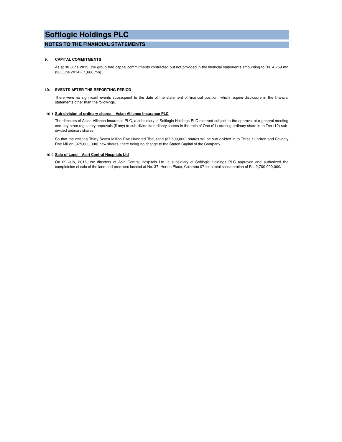#### **NOTES TO THE FINANCIAL STATEMENTS**

#### **9. CAPITAL COMMITMENTS**

As at 30 June 2015, the group had capital commitments contracted but not provided in the financial statements amounting to Rs. 4,259 mn (30 June 2014 - 1,668 mn).

#### **10. EVENTS AFTER THE REPORTING PERIOD**

There were no significant events subsequent to the date of the statement of financial position, which require disclosure in the financial statements other than the followings.

#### **10.1 Sub-division of ordinary shares – Asian Alliance Insurance PLC**

The directors of Asian Alliance Insurance PLC, a subsidiary of Softlogic Holdings PLC resolved subject to the approval at a general meeting and any other regulatory approvals (if any) to sub-divide its ordinary shares in the ratio of One (01) existing ordinary share in to Ten (10) subdivided ordinary shares.

So that the existing Thirty Seven Million Five Hundred Thousand (37,500,000) shares will be sub-divided in to Three Hundred and Seventy Five Million (375,000,000) new shares, there being no change to the Stated Capital of the Company.

#### **10.2 Sale of Land – Asiri Central Hospitals Ltd**

On 09 July, 2015, the directors of Asiri Central Hospitals Ltd, a subsidiary of Softlogic Holdings PLC approved and authorized the completeion of sale of the land and premises located at No. 37, Horton Place, Colombo 07 for a total consideration of Rs. 2,700,000,000/-.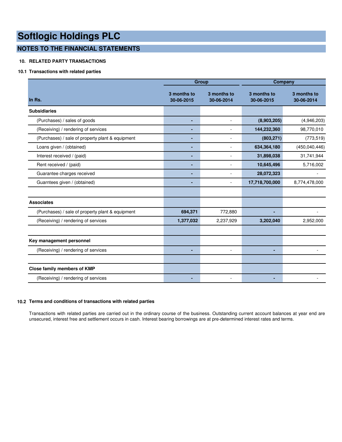# **NOTES TO THE FINANCIAL STATEMENTS**

#### **10. RELATED PARTY TRANSACTIONS**

#### **10.1 Transactions with related parties**

|                                                  |                           | <b>Group</b>              | Company                   |                           |  |
|--------------------------------------------------|---------------------------|---------------------------|---------------------------|---------------------------|--|
| In Rs.                                           | 3 months to<br>30-06-2015 | 3 months to<br>30-06-2014 | 3 months to<br>30-06-2015 | 3 months to<br>30-06-2014 |  |
| <b>Subsidiaries</b>                              |                           |                           |                           |                           |  |
| (Purchases) / sales of goods                     | ٠                         | $\overline{\phantom{a}}$  | (8,903,205)               | (4,946,203)               |  |
| (Receiving) / rendering of services              | ٠                         |                           | 144,232,360               | 98,770,010                |  |
| (Purchases) / sale of property plant & equipment | ٠                         |                           | (803, 271)                | (773, 519)                |  |
| Loans given / (obtained)                         | ٠                         |                           | 634,364,180               | (450,040,446)             |  |
| Interest received / (paid)                       | ٠                         | $\overline{\phantom{a}}$  | 31,898,038                | 31,741,944                |  |
| Rent received / (paid)                           | ٠                         | $\blacksquare$            | 10,645,496                | 5,716,002                 |  |
| Guarantee charges received                       | ٠                         |                           | 28,072,323                |                           |  |
| Guarntees given / (obtained)                     | ٠                         | $\sim$                    | 17,718,700,000            | 8,774,478,000             |  |
|                                                  |                           |                           |                           |                           |  |
| <b>Associates</b>                                |                           |                           |                           |                           |  |
| (Purchases) / sale of property plant & equipment | 694,371                   | 772,880                   |                           |                           |  |
| (Receiving) / rendering of services              | 1,377,032                 | 2,237,929                 | 3,202,040                 | 2,952,000                 |  |
|                                                  |                           |                           |                           |                           |  |
| Key management personnel                         |                           |                           |                           |                           |  |
| (Receiving) / rendering of services              | ٠                         |                           | ۰                         |                           |  |
|                                                  |                           |                           |                           |                           |  |
| Close family members of KMP                      |                           |                           |                           |                           |  |
| (Receiving) / rendering of services              |                           |                           |                           |                           |  |

#### **10.2 Terms and conditions of transactions with related parties**

Transactions with related parties are carried out in the ordinary course of the business. Outstanding current account balances at year end are unsecured, interest free and settlement occurs in cash. Interest bearing borrowings are at pre-determined interest rates and terms.